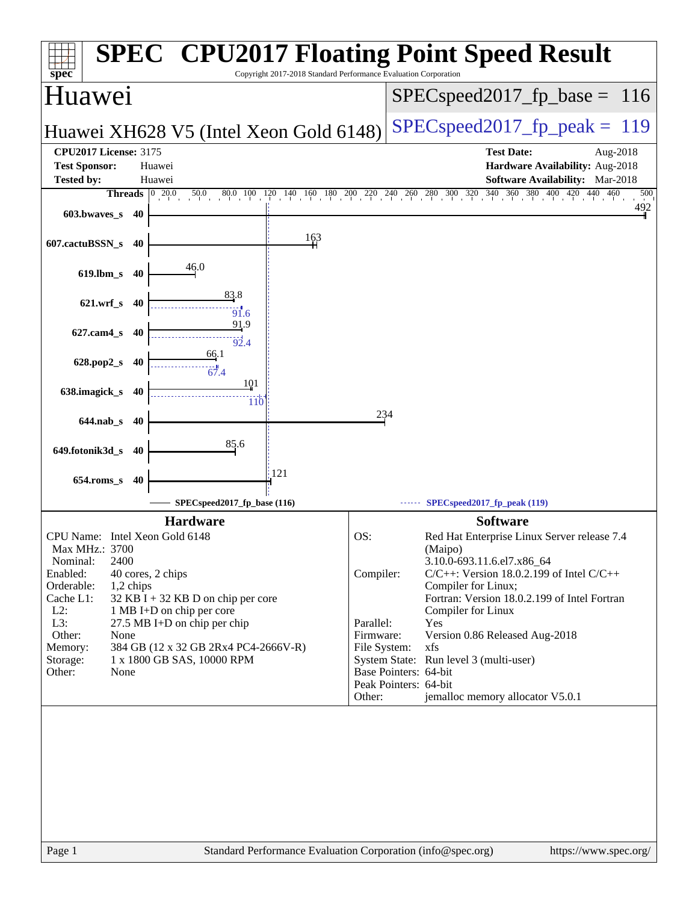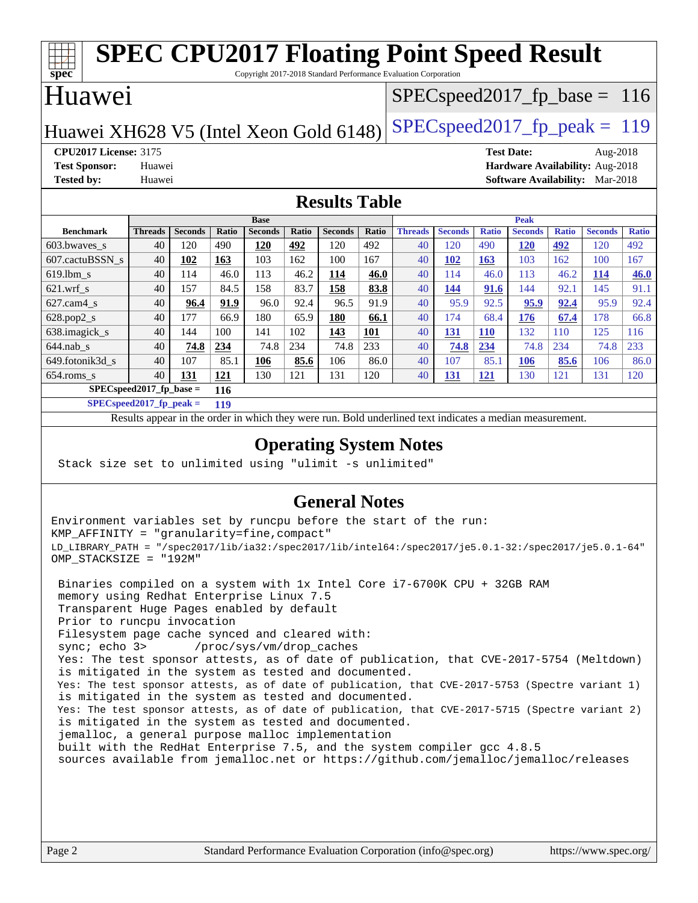#### **[spec](http://www.spec.org/) [SPEC CPU2017 Floating Point Speed Result](http://www.spec.org/auto/cpu2017/Docs/result-fields.html#SPECCPU2017FloatingPointSpeedResult)** Copyright 2017-2018 Standard Performance Evaluation Corporation Huawei Huawei XH628 V5 (Intel Xeon Gold 6148) SPECspeed 2017 fp peak  $= 119$ SPECspeed2017 fp base =  $116$ **[CPU2017 License:](http://www.spec.org/auto/cpu2017/Docs/result-fields.html#CPU2017License)** 3175 **[Test Date:](http://www.spec.org/auto/cpu2017/Docs/result-fields.html#TestDate)** Aug-2018 **[Test Sponsor:](http://www.spec.org/auto/cpu2017/Docs/result-fields.html#TestSponsor)** Huawei **[Hardware Availability:](http://www.spec.org/auto/cpu2017/Docs/result-fields.html#HardwareAvailability)** Aug-2018 **[Tested by:](http://www.spec.org/auto/cpu2017/Docs/result-fields.html#Testedby)** Huawei **[Software Availability:](http://www.spec.org/auto/cpu2017/Docs/result-fields.html#SoftwareAvailability)** Mar-2018 **[Results Table](http://www.spec.org/auto/cpu2017/Docs/result-fields.html#ResultsTable) [Benchmark](http://www.spec.org/auto/cpu2017/Docs/result-fields.html#Benchmark) [Threads](http://www.spec.org/auto/cpu2017/Docs/result-fields.html#Threads) [Seconds](http://www.spec.org/auto/cpu2017/Docs/result-fields.html#Seconds) [Ratio](http://www.spec.org/auto/cpu2017/Docs/result-fields.html#Ratio) [Seconds](http://www.spec.org/auto/cpu2017/Docs/result-fields.html#Seconds) [Ratio](http://www.spec.org/auto/cpu2017/Docs/result-fields.html#Ratio) [Seconds](http://www.spec.org/auto/cpu2017/Docs/result-fields.html#Seconds) [Ratio](http://www.spec.org/auto/cpu2017/Docs/result-fields.html#Ratio) Base [Threads](http://www.spec.org/auto/cpu2017/Docs/result-fields.html#Threads) [Seconds](http://www.spec.org/auto/cpu2017/Docs/result-fields.html#Seconds) [Ratio](http://www.spec.org/auto/cpu2017/Docs/result-fields.html#Ratio) [Seconds](http://www.spec.org/auto/cpu2017/Docs/result-fields.html#Seconds) [Ratio](http://www.spec.org/auto/cpu2017/Docs/result-fields.html#Ratio) [Seconds](http://www.spec.org/auto/cpu2017/Docs/result-fields.html#Seconds) [Ratio](http://www.spec.org/auto/cpu2017/Docs/result-fields.html#Ratio) Peak** [603.bwaves\\_s](http://www.spec.org/auto/cpu2017/Docs/benchmarks/603.bwaves_s.html) 40 120 490 **[120](http://www.spec.org/auto/cpu2017/Docs/result-fields.html#Median) [492](http://www.spec.org/auto/cpu2017/Docs/result-fields.html#Median)** 120 492 40 120 490 **[120](http://www.spec.org/auto/cpu2017/Docs/result-fields.html#Median) [492](http://www.spec.org/auto/cpu2017/Docs/result-fields.html#Median)** 120 492 [607.cactuBSSN\\_s](http://www.spec.org/auto/cpu2017/Docs/benchmarks/607.cactuBSSN_s.html) 40 **[102](http://www.spec.org/auto/cpu2017/Docs/result-fields.html#Median) [163](http://www.spec.org/auto/cpu2017/Docs/result-fields.html#Median)** 103 162 100 167 40 **[102](http://www.spec.org/auto/cpu2017/Docs/result-fields.html#Median) [163](http://www.spec.org/auto/cpu2017/Docs/result-fields.html#Median)** 103 162 100 167 [619.lbm\\_s](http://www.spec.org/auto/cpu2017/Docs/benchmarks/619.lbm_s.html) 40 114 46.0 113 46.2 **[114](http://www.spec.org/auto/cpu2017/Docs/result-fields.html#Median) [46.0](http://www.spec.org/auto/cpu2017/Docs/result-fields.html#Median)** 40 114 46.0 113 46.2 **[114](http://www.spec.org/auto/cpu2017/Docs/result-fields.html#Median) [46.0](http://www.spec.org/auto/cpu2017/Docs/result-fields.html#Median)** [621.wrf\\_s](http://www.spec.org/auto/cpu2017/Docs/benchmarks/621.wrf_s.html) 40 157 84.5 158 83.7 **[158](http://www.spec.org/auto/cpu2017/Docs/result-fields.html#Median) [83.8](http://www.spec.org/auto/cpu2017/Docs/result-fields.html#Median)** 40 **[144](http://www.spec.org/auto/cpu2017/Docs/result-fields.html#Median) [91.6](http://www.spec.org/auto/cpu2017/Docs/result-fields.html#Median)** 144 92.1 145 91.1 [627.cam4\\_s](http://www.spec.org/auto/cpu2017/Docs/benchmarks/627.cam4_s.html) 40 **[96.4](http://www.spec.org/auto/cpu2017/Docs/result-fields.html#Median) [91.9](http://www.spec.org/auto/cpu2017/Docs/result-fields.html#Median)** 96.0 92.4 96.5 91.9 40 95.9 92.5 **[95.9](http://www.spec.org/auto/cpu2017/Docs/result-fields.html#Median) [92.4](http://www.spec.org/auto/cpu2017/Docs/result-fields.html#Median)** 95.9 92.4 [628.pop2\\_s](http://www.spec.org/auto/cpu2017/Docs/benchmarks/628.pop2_s.html) 40 177 66.9 180 65.9 **[180](http://www.spec.org/auto/cpu2017/Docs/result-fields.html#Median) [66.1](http://www.spec.org/auto/cpu2017/Docs/result-fields.html#Median)** 40 174 68.4 **[176](http://www.spec.org/auto/cpu2017/Docs/result-fields.html#Median) [67.4](http://www.spec.org/auto/cpu2017/Docs/result-fields.html#Median)** 178 66.8 [638.imagick\\_s](http://www.spec.org/auto/cpu2017/Docs/benchmarks/638.imagick_s.html) 40 144 100 141 102 **[143](http://www.spec.org/auto/cpu2017/Docs/result-fields.html#Median) [101](http://www.spec.org/auto/cpu2017/Docs/result-fields.html#Median)** 40 **[131](http://www.spec.org/auto/cpu2017/Docs/result-fields.html#Median) [110](http://www.spec.org/auto/cpu2017/Docs/result-fields.html#Median)** 132 110 125 116 [644.nab\\_s](http://www.spec.org/auto/cpu2017/Docs/benchmarks/644.nab_s.html) 40 **[74.8](http://www.spec.org/auto/cpu2017/Docs/result-fields.html#Median) [234](http://www.spec.org/auto/cpu2017/Docs/result-fields.html#Median)** 74.8 234 74.8 233 40 **[74.8](http://www.spec.org/auto/cpu2017/Docs/result-fields.html#Median) [234](http://www.spec.org/auto/cpu2017/Docs/result-fields.html#Median)** 74.8 234 74.8 233 [649.fotonik3d\\_s](http://www.spec.org/auto/cpu2017/Docs/benchmarks/649.fotonik3d_s.html) 40 107 85.1 **[106](http://www.spec.org/auto/cpu2017/Docs/result-fields.html#Median) [85.6](http://www.spec.org/auto/cpu2017/Docs/result-fields.html#Median)** 106 86.0 40 107 85.1 **[106](http://www.spec.org/auto/cpu2017/Docs/result-fields.html#Median) [85.6](http://www.spec.org/auto/cpu2017/Docs/result-fields.html#Median)** 106 86.0 [654.roms\\_s](http://www.spec.org/auto/cpu2017/Docs/benchmarks/654.roms_s.html) 40 **[131](http://www.spec.org/auto/cpu2017/Docs/result-fields.html#Median) [121](http://www.spec.org/auto/cpu2017/Docs/result-fields.html#Median)** 130 121 131 120 40 **[131](http://www.spec.org/auto/cpu2017/Docs/result-fields.html#Median) [121](http://www.spec.org/auto/cpu2017/Docs/result-fields.html#Median)** 130 121 131 120 **[SPECspeed2017\\_fp\\_base =](http://www.spec.org/auto/cpu2017/Docs/result-fields.html#SPECspeed2017fpbase) 116 [SPECspeed2017\\_fp\\_peak =](http://www.spec.org/auto/cpu2017/Docs/result-fields.html#SPECspeed2017fppeak) 119**

Results appear in the [order in which they were run.](http://www.spec.org/auto/cpu2017/Docs/result-fields.html#RunOrder) Bold underlined text [indicates a median measurement](http://www.spec.org/auto/cpu2017/Docs/result-fields.html#Median).

### **[Operating System Notes](http://www.spec.org/auto/cpu2017/Docs/result-fields.html#OperatingSystemNotes)**

Stack size set to unlimited using "ulimit -s unlimited"

### **[General Notes](http://www.spec.org/auto/cpu2017/Docs/result-fields.html#GeneralNotes)**

Environment variables set by runcpu before the start of the run: KMP\_AFFINITY = "granularity=fine,compact" LD\_LIBRARY\_PATH = "/spec2017/lib/ia32:/spec2017/lib/intel64:/spec2017/je5.0.1-32:/spec2017/je5.0.1-64" OMP\_STACKSIZE = "192M"

 Binaries compiled on a system with 1x Intel Core i7-6700K CPU + 32GB RAM memory using Redhat Enterprise Linux 7.5 Transparent Huge Pages enabled by default Prior to runcpu invocation Filesystem page cache synced and cleared with: sync; echo 3> /proc/sys/vm/drop\_caches Yes: The test sponsor attests, as of date of publication, that CVE-2017-5754 (Meltdown) is mitigated in the system as tested and documented. Yes: The test sponsor attests, as of date of publication, that CVE-2017-5753 (Spectre variant 1) is mitigated in the system as tested and documented. Yes: The test sponsor attests, as of date of publication, that CVE-2017-5715 (Spectre variant 2) is mitigated in the system as tested and documented. jemalloc, a general purpose malloc implementation built with the RedHat Enterprise 7.5, and the system compiler gcc 4.8.5 sources available from jemalloc.net or <https://github.com/jemalloc/jemalloc/releases>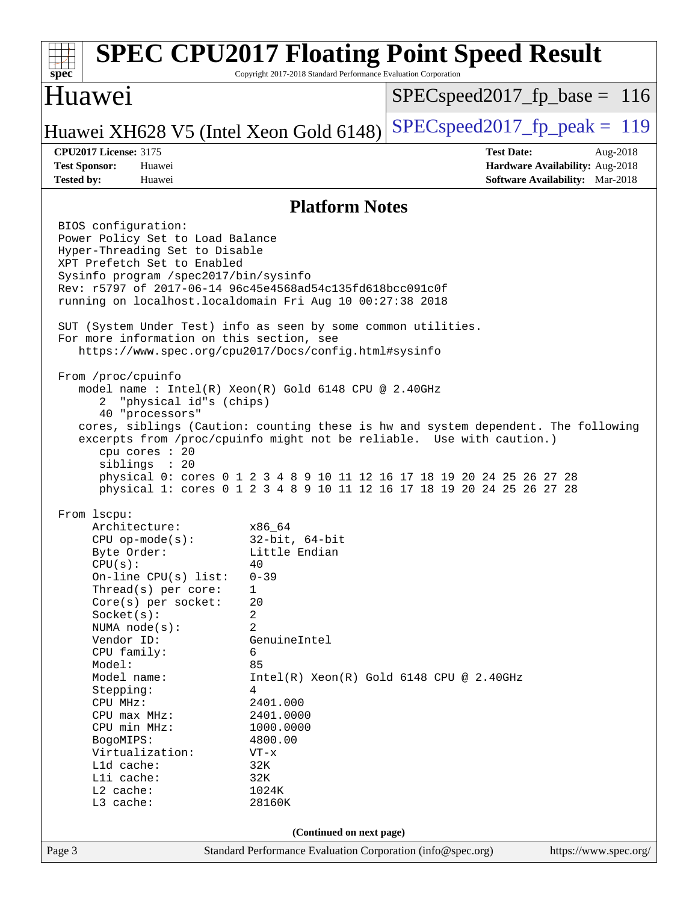### Page 3 Standard Performance Evaluation Corporation [\(info@spec.org\)](mailto:info@spec.org) <https://www.spec.org/> **[spec](http://www.spec.org/) [SPEC CPU2017 Floating Point Speed Result](http://www.spec.org/auto/cpu2017/Docs/result-fields.html#SPECCPU2017FloatingPointSpeedResult)** Copyright 2017-2018 Standard Performance Evaluation Corporation Huawei Huawei XH628 V5 (Intel Xeon Gold 6148) SPECspeed 2017 fp peak  $= 119$ SPECspeed2017 fp base =  $116$ **[CPU2017 License:](http://www.spec.org/auto/cpu2017/Docs/result-fields.html#CPU2017License)** 3175 **[Test Date:](http://www.spec.org/auto/cpu2017/Docs/result-fields.html#TestDate)** Aug-2018 **[Test Sponsor:](http://www.spec.org/auto/cpu2017/Docs/result-fields.html#TestSponsor)** Huawei **[Hardware Availability:](http://www.spec.org/auto/cpu2017/Docs/result-fields.html#HardwareAvailability)** Aug-2018 **[Tested by:](http://www.spec.org/auto/cpu2017/Docs/result-fields.html#Testedby)** Huawei **[Software Availability:](http://www.spec.org/auto/cpu2017/Docs/result-fields.html#SoftwareAvailability)** Mar-2018 **[Platform Notes](http://www.spec.org/auto/cpu2017/Docs/result-fields.html#PlatformNotes)** BIOS configuration: Power Policy Set to Load Balance Hyper-Threading Set to Disable XPT Prefetch Set to Enabled Sysinfo program /spec2017/bin/sysinfo Rev: r5797 of 2017-06-14 96c45e4568ad54c135fd618bcc091c0f running on localhost.localdomain Fri Aug 10 00:27:38 2018 SUT (System Under Test) info as seen by some common utilities. For more information on this section, see <https://www.spec.org/cpu2017/Docs/config.html#sysinfo> From /proc/cpuinfo model name : Intel(R) Xeon(R) Gold 6148 CPU @ 2.40GHz 2 "physical id"s (chips) 40 "processors" cores, siblings (Caution: counting these is hw and system dependent. The following excerpts from /proc/cpuinfo might not be reliable. Use with caution.) cpu cores : 20 siblings : 20 physical 0: cores 0 1 2 3 4 8 9 10 11 12 16 17 18 19 20 24 25 26 27 28 physical 1: cores 0 1 2 3 4 8 9 10 11 12 16 17 18 19 20 24 25 26 27 28 From lscpu: Architecture: x86\_64 CPU op-mode(s): 32-bit, 64-bit Byte Order: Little Endian  $CPU(s):$  40 On-line CPU(s) list: 0-39 Thread(s) per core: 1 Core(s) per socket: 20 Socket(s): 2 NUMA node(s): 2 Vendor ID: GenuineIntel CPU family: 6 Model: 85 Model name:  $Intel(R)$  Xeon(R) Gold 6148 CPU @ 2.40GHz Stepping: 4 CPU MHz: 2401.000 CPU max MHz: 2401.0000 CPU min MHz: 1000.0000 BogoMIPS: 4800.00 Virtualization: VT-x L1d cache: 32K<br>
L1i cache: 32K  $L1i$  cache: L2 cache: 1024K L3 cache: 28160K **(Continued on next page)**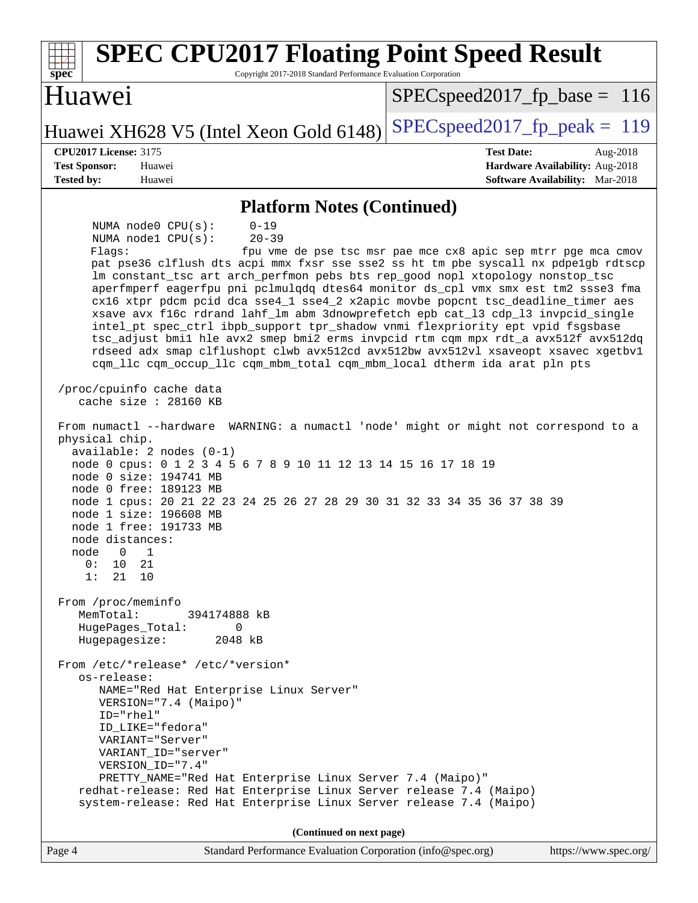| <b>SPEC CPU2017 Floating Point Speed Result</b><br>Copyright 2017-2018 Standard Performance Evaluation Corporation<br>spec <sup>®</sup>                                                                                                                                                                                                                                                                                                                                                                                                                                                                                                                                                                                                                                                                                                                                                                                                                                                                    |                                                                                                            |  |  |  |  |  |
|------------------------------------------------------------------------------------------------------------------------------------------------------------------------------------------------------------------------------------------------------------------------------------------------------------------------------------------------------------------------------------------------------------------------------------------------------------------------------------------------------------------------------------------------------------------------------------------------------------------------------------------------------------------------------------------------------------------------------------------------------------------------------------------------------------------------------------------------------------------------------------------------------------------------------------------------------------------------------------------------------------|------------------------------------------------------------------------------------------------------------|--|--|--|--|--|
| Huawei                                                                                                                                                                                                                                                                                                                                                                                                                                                                                                                                                                                                                                                                                                                                                                                                                                                                                                                                                                                                     | $SPEC speed2017_f p\_base = 116$                                                                           |  |  |  |  |  |
| Huawei XH628 V5 (Intel Xeon Gold 6148)                                                                                                                                                                                                                                                                                                                                                                                                                                                                                                                                                                                                                                                                                                                                                                                                                                                                                                                                                                     | $SPEC speed2017_fp\_peak = 119$                                                                            |  |  |  |  |  |
| <b>CPU2017 License: 3175</b><br><b>Test Sponsor:</b><br>Huawei<br><b>Tested by:</b><br>Huawei                                                                                                                                                                                                                                                                                                                                                                                                                                                                                                                                                                                                                                                                                                                                                                                                                                                                                                              | <b>Test Date:</b><br>Aug-2018<br>Hardware Availability: Aug-2018<br><b>Software Availability:</b> Mar-2018 |  |  |  |  |  |
| <b>Platform Notes (Continued)</b>                                                                                                                                                                                                                                                                                                                                                                                                                                                                                                                                                                                                                                                                                                                                                                                                                                                                                                                                                                          |                                                                                                            |  |  |  |  |  |
| NUMA node0 CPU(s):<br>$0 - 19$<br>NUMA nodel CPU(s):<br>$20 - 39$<br>Flagg:<br>pat pse36 clflush dts acpi mmx fxsr sse sse2 ss ht tm pbe syscall nx pdpelgb rdtscp<br>lm constant_tsc art arch_perfmon pebs bts rep_good nopl xtopology nonstop_tsc<br>aperfmperf eagerfpu pni pclmulqdq dtes64 monitor ds_cpl vmx smx est tm2 ssse3 fma<br>cx16 xtpr pdcm pcid dca sse4_1 sse4_2 x2apic movbe popcnt tsc_deadline_timer aes<br>xsave avx f16c rdrand lahf_lm abm 3dnowprefetch epb cat_13 cdp_13 invpcid_single<br>intel_pt spec_ctrl ibpb_support tpr_shadow vnmi flexpriority ept vpid fsgsbase<br>tsc_adjust bmil hle avx2 smep bmi2 erms invpcid rtm cqm mpx rdt_a avx512f avx512dq<br>rdseed adx smap clflushopt clwb avx512cd avx512bw avx512vl xsaveopt xsavec xgetbvl<br>cqm_llc cqm_occup_llc cqm_mbm_total cqm_mbm_local dtherm ida arat pln pts<br>/proc/cpuinfo cache data<br>cache size $: 28160$ KB<br>From numactl --hardware WARNING: a numactl 'node' might or might not correspond to a | fpu vme de pse tsc msr pae mce cx8 apic sep mtrr pge mca cmov                                              |  |  |  |  |  |
| physical chip.<br>$available: 2 nodes (0-1)$<br>node 0 cpus: 0 1 2 3 4 5 6 7 8 9 10 11 12 13 14 15 16 17 18 19<br>node 0 size: 194741 MB<br>node 0 free: 189123 MB<br>node 1 cpus: 20 21 22 23 24 25 26 27 28 29 30 31 32 33 34 35 36 37 38 39<br>node 1 size: 196608 MB<br>node 1 free: 191733 MB<br>node distances:<br>node 0 1<br>0:<br>10<br>21<br>21<br>10<br>1:                                                                                                                                                                                                                                                                                                                                                                                                                                                                                                                                                                                                                                      |                                                                                                            |  |  |  |  |  |
| From /proc/meminfo<br>MemTotal:<br>394174888 kB<br>HugePages_Total:<br>0<br>Hugepagesize:<br>2048 kB                                                                                                                                                                                                                                                                                                                                                                                                                                                                                                                                                                                                                                                                                                                                                                                                                                                                                                       |                                                                                                            |  |  |  |  |  |
| From /etc/*release* /etc/*version*<br>os-release:<br>NAME="Red Hat Enterprise Linux Server"<br>VERSION="7.4 (Maipo)"<br>$ID="rhe1"$<br>ID_LIKE="fedora"<br>VARIANT="Server"<br>VARIANT_ID="server"<br>VERSION_ID="7.4"<br>PRETTY_NAME="Red Hat Enterprise Linux Server 7.4 (Maipo)"<br>redhat-release: Red Hat Enterprise Linux Server release 7.4 (Maipo)<br>system-release: Red Hat Enterprise Linux Server release 7.4 (Maipo)                                                                                                                                                                                                                                                                                                                                                                                                                                                                                                                                                                          |                                                                                                            |  |  |  |  |  |
| (Continued on next page)                                                                                                                                                                                                                                                                                                                                                                                                                                                                                                                                                                                                                                                                                                                                                                                                                                                                                                                                                                                   |                                                                                                            |  |  |  |  |  |
| Page 4<br>Standard Performance Evaluation Corporation (info@spec.org)                                                                                                                                                                                                                                                                                                                                                                                                                                                                                                                                                                                                                                                                                                                                                                                                                                                                                                                                      | https://www.spec.org/                                                                                      |  |  |  |  |  |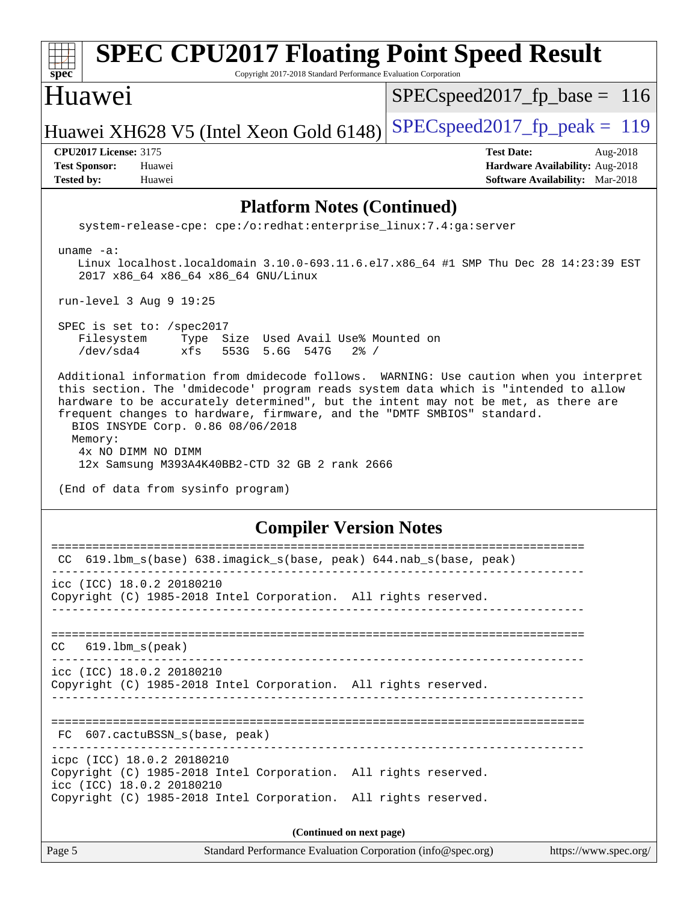| <b>SPEC CPU2017 Floating Point Speed Result</b><br>spec<br>Copyright 2017-2018 Standard Performance Evaluation Corporation                                                                                                                                                                                                                                                                                                                                                                                   |                                                                                                            |  |  |  |  |  |
|--------------------------------------------------------------------------------------------------------------------------------------------------------------------------------------------------------------------------------------------------------------------------------------------------------------------------------------------------------------------------------------------------------------------------------------------------------------------------------------------------------------|------------------------------------------------------------------------------------------------------------|--|--|--|--|--|
| Huawei                                                                                                                                                                                                                                                                                                                                                                                                                                                                                                       | $SPEC speed2017_f p\_base = 116$                                                                           |  |  |  |  |  |
| Huawei XH628 V5 (Intel Xeon Gold 6148)                                                                                                                                                                                                                                                                                                                                                                                                                                                                       | $SPEC speed2017_fp_peak = 119$                                                                             |  |  |  |  |  |
| <b>CPU2017 License: 3175</b><br><b>Test Sponsor:</b><br>Huawei<br><b>Tested by:</b><br>Huawei                                                                                                                                                                                                                                                                                                                                                                                                                | <b>Test Date:</b><br>Aug-2018<br>Hardware Availability: Aug-2018<br><b>Software Availability:</b> Mar-2018 |  |  |  |  |  |
| <b>Platform Notes (Continued)</b>                                                                                                                                                                                                                                                                                                                                                                                                                                                                            |                                                                                                            |  |  |  |  |  |
| system-release-cpe: cpe:/o:redhat:enterprise_linux:7.4:ga:server                                                                                                                                                                                                                                                                                                                                                                                                                                             |                                                                                                            |  |  |  |  |  |
| uname $-a$ :<br>Linux localhost.localdomain 3.10.0-693.11.6.el7.x86_64 #1 SMP Thu Dec 28 14:23:39 EST<br>2017 x86_64 x86_64 x86_64 GNU/Linux                                                                                                                                                                                                                                                                                                                                                                 |                                                                                                            |  |  |  |  |  |
| run-level 3 Aug 9 19:25                                                                                                                                                                                                                                                                                                                                                                                                                                                                                      |                                                                                                            |  |  |  |  |  |
| SPEC is set to: /spec2017<br>Filesystem<br>Type Size Used Avail Use% Mounted on<br>/dev/sda4<br>xfs<br>553G 5.6G 547G<br>$2\frac{8}{1}$ /                                                                                                                                                                                                                                                                                                                                                                    |                                                                                                            |  |  |  |  |  |
| Additional information from dmidecode follows. WARNING: Use caution when you interpret<br>this section. The 'dmidecode' program reads system data which is "intended to allow<br>hardware to be accurately determined", but the intent may not be met, as there are<br>frequent changes to hardware, firmware, and the "DMTF SMBIOS" standard.<br>BIOS INSYDE Corp. 0.86 08/06/2018<br>Memory:<br>4x NO DIMM NO DIMM<br>12x Samsung M393A4K40BB2-CTD 32 GB 2 rank 2666<br>(End of data from sysinfo program) |                                                                                                            |  |  |  |  |  |
| <b>Compiler Version Notes</b>                                                                                                                                                                                                                                                                                                                                                                                                                                                                                |                                                                                                            |  |  |  |  |  |
| CC 619.1bm_s(base) 638.imagick_s(base, peak) 644.nab_s(base, peak)                                                                                                                                                                                                                                                                                                                                                                                                                                           |                                                                                                            |  |  |  |  |  |
| icc (ICC) 18.0.2 20180210<br>Copyright (C) 1985-2018 Intel Corporation. All rights reserved.                                                                                                                                                                                                                                                                                                                                                                                                                 |                                                                                                            |  |  |  |  |  |
| $619.1$ bm_s(peak)<br>CC.                                                                                                                                                                                                                                                                                                                                                                                                                                                                                    |                                                                                                            |  |  |  |  |  |
| icc (ICC) 18.0.2 20180210<br>Copyright (C) 1985-2018 Intel Corporation. All rights reserved.                                                                                                                                                                                                                                                                                                                                                                                                                 |                                                                                                            |  |  |  |  |  |
| FC 607.cactuBSSN_s(base, peak)                                                                                                                                                                                                                                                                                                                                                                                                                                                                               |                                                                                                            |  |  |  |  |  |
| icpc (ICC) 18.0.2 20180210<br>Copyright (C) 1985-2018 Intel Corporation. All rights reserved.<br>icc (ICC) 18.0.2 20180210<br>Copyright (C) 1985-2018 Intel Corporation. All rights reserved.                                                                                                                                                                                                                                                                                                                |                                                                                                            |  |  |  |  |  |
| (Continued on next page)                                                                                                                                                                                                                                                                                                                                                                                                                                                                                     |                                                                                                            |  |  |  |  |  |
| Page 5<br>Standard Performance Evaluation Corporation (info@spec.org)                                                                                                                                                                                                                                                                                                                                                                                                                                        | https://www.spec.org/                                                                                      |  |  |  |  |  |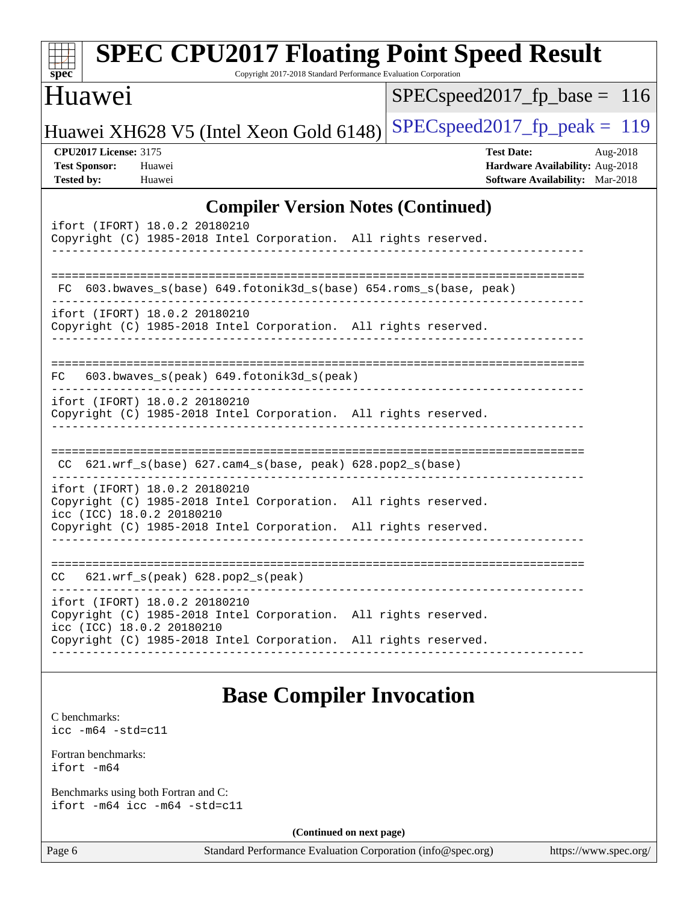| spec <sup>®</sup>                                                         | <b>SPEC CPU2017 Floating Point Speed Result</b>                                                                                                                                                  | Copyright 2017-2018 Standard Performance Evaluation Corporation |  |                                 |                                                                                |
|---------------------------------------------------------------------------|--------------------------------------------------------------------------------------------------------------------------------------------------------------------------------------------------|-----------------------------------------------------------------|--|---------------------------------|--------------------------------------------------------------------------------|
| Huawei                                                                    |                                                                                                                                                                                                  |                                                                 |  | $SPEC speed2017_fp\_base = 116$ |                                                                                |
|                                                                           | Huawei XH628 V5 (Intel Xeon Gold 6148)                                                                                                                                                           |                                                                 |  | $SPEC speed2017_fp\_peak = 119$ |                                                                                |
| <b>CPU2017 License: 3175</b><br><b>Test Sponsor:</b><br><b>Tested by:</b> | Huawei<br>Huawei                                                                                                                                                                                 |                                                                 |  | <b>Test Date:</b>               | Aug-2018<br>Hardware Availability: Aug-2018<br>Software Availability: Mar-2018 |
| <b>Compiler Version Notes (Continued)</b>                                 |                                                                                                                                                                                                  |                                                                 |  |                                 |                                                                                |
|                                                                           | ifort (IFORT) 18.0.2 20180210<br>Copyright (C) 1985-2018 Intel Corporation. All rights reserved.                                                                                                 |                                                                 |  |                                 |                                                                                |
|                                                                           | FC 603.bwaves_s(base) 649.fotonik3d_s(base) 654.roms_s(base, peak)                                                                                                                               |                                                                 |  |                                 |                                                                                |
|                                                                           | ifort (IFORT) 18.0.2 20180210<br>Copyright (C) 1985-2018 Intel Corporation. All rights reserved.                                                                                                 |                                                                 |  |                                 |                                                                                |
| FC.                                                                       | 603.bwaves_s(peak) 649.fotonik3d_s(peak)                                                                                                                                                         |                                                                 |  |                                 |                                                                                |
|                                                                           | ifort (IFORT) 18.0.2 20180210<br>Copyright (C) 1985-2018 Intel Corporation. All rights reserved.                                                                                                 |                                                                 |  |                                 |                                                                                |
|                                                                           | $CC$ 621.wrf_s(base) 627.cam4_s(base, peak) 628.pop2_s(base)                                                                                                                                     |                                                                 |  |                                 |                                                                                |
|                                                                           | ifort (IFORT) 18.0.2 20180210<br>Copyright (C) 1985-2018 Intel Corporation. All rights reserved.<br>icc (ICC) 18.0.2 20180210<br>Copyright (C) 1985-2018 Intel Corporation. All rights reserved. |                                                                 |  |                                 |                                                                                |
|                                                                           |                                                                                                                                                                                                  |                                                                 |  |                                 |                                                                                |
| CC                                                                        | $621.wrf$ s(peak) $628.pop2$ s(peak)                                                                                                                                                             |                                                                 |  |                                 |                                                                                |
|                                                                           | ifort (IFORT) 18.0.2 20180210<br>Copyright (C) 1985-2018 Intel Corporation. All rights reserved.<br>icc (ICC) 18.0.2 20180210                                                                    |                                                                 |  |                                 |                                                                                |
|                                                                           | Copyright (C) 1985-2018 Intel Corporation. All rights reserved.                                                                                                                                  |                                                                 |  |                                 |                                                                                |
|                                                                           |                                                                                                                                                                                                  | <b>Base Compiler Invocation</b>                                 |  |                                 |                                                                                |
| C benchmarks:<br>$\text{icc -m64 -std=cl1}$                               |                                                                                                                                                                                                  |                                                                 |  |                                 |                                                                                |
| Fortran benchmarks:<br>ifort -m64                                         |                                                                                                                                                                                                  |                                                                 |  |                                 |                                                                                |
|                                                                           | Benchmarks using both Fortran and C:<br>ifort -m64 icc -m64 -std=c11                                                                                                                             |                                                                 |  |                                 |                                                                                |
| (Continued on next page)                                                  |                                                                                                                                                                                                  |                                                                 |  |                                 |                                                                                |
| Page 6                                                                    |                                                                                                                                                                                                  | Standard Performance Evaluation Corporation (info@spec.org)     |  |                                 | https://www.spec.org/                                                          |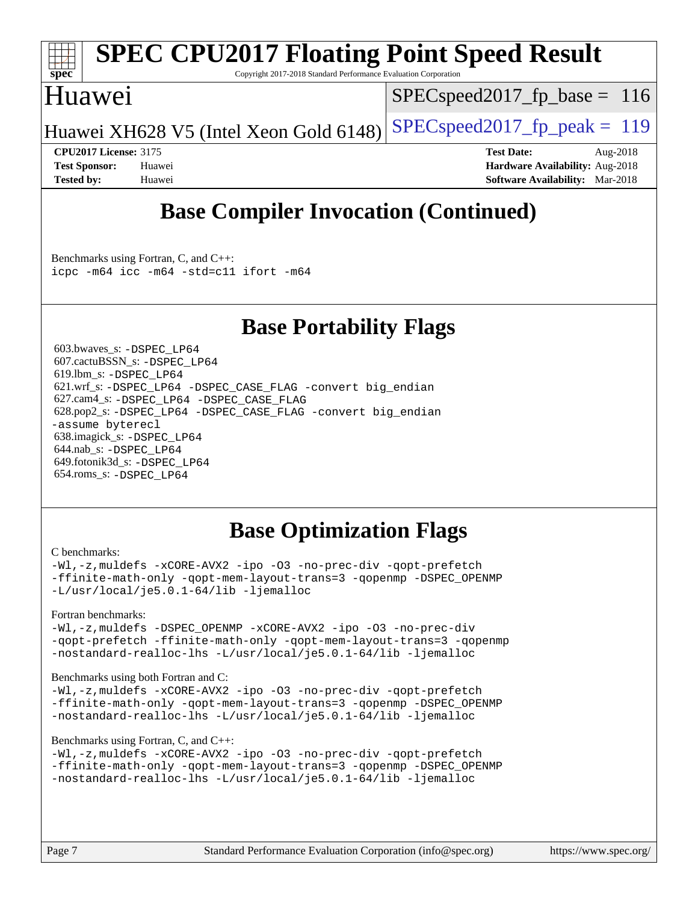

# **[SPEC CPU2017 Floating Point Speed Result](http://www.spec.org/auto/cpu2017/Docs/result-fields.html#SPECCPU2017FloatingPointSpeedResult)**

Copyright 2017-2018 Standard Performance Evaluation Corporation

## Huawei

SPECspeed2017 fp base =  $116$ 

Huawei XH628 V5 (Intel Xeon Gold 6148) SPECspeed 2017 fp peak = 119

**[CPU2017 License:](http://www.spec.org/auto/cpu2017/Docs/result-fields.html#CPU2017License)** 3175 **[Test Date:](http://www.spec.org/auto/cpu2017/Docs/result-fields.html#TestDate)** Aug-2018 **[Test Sponsor:](http://www.spec.org/auto/cpu2017/Docs/result-fields.html#TestSponsor)** Huawei **[Hardware Availability:](http://www.spec.org/auto/cpu2017/Docs/result-fields.html#HardwareAvailability)** Aug-2018 **[Tested by:](http://www.spec.org/auto/cpu2017/Docs/result-fields.html#Testedby)** Huawei **[Software Availability:](http://www.spec.org/auto/cpu2017/Docs/result-fields.html#SoftwareAvailability)** Mar-2018

# **[Base Compiler Invocation \(Continued\)](http://www.spec.org/auto/cpu2017/Docs/result-fields.html#BaseCompilerInvocation)**

[Benchmarks using Fortran, C, and C++:](http://www.spec.org/auto/cpu2017/Docs/result-fields.html#BenchmarksusingFortranCandCXX) [icpc -m64](http://www.spec.org/cpu2017/results/res2018q4/cpu2017-20181025-09313.flags.html#user_CC_CXX_FCbase_intel_icpc_64bit_4ecb2543ae3f1412ef961e0650ca070fec7b7afdcd6ed48761b84423119d1bf6bdf5cad15b44d48e7256388bc77273b966e5eb805aefd121eb22e9299b2ec9d9) [icc -m64 -std=c11](http://www.spec.org/cpu2017/results/res2018q4/cpu2017-20181025-09313.flags.html#user_CC_CXX_FCbase_intel_icc_64bit_c11_33ee0cdaae7deeeab2a9725423ba97205ce30f63b9926c2519791662299b76a0318f32ddfffdc46587804de3178b4f9328c46fa7c2b0cd779d7a61945c91cd35) [ifort -m64](http://www.spec.org/cpu2017/results/res2018q4/cpu2017-20181025-09313.flags.html#user_CC_CXX_FCbase_intel_ifort_64bit_24f2bb282fbaeffd6157abe4f878425411749daecae9a33200eee2bee2fe76f3b89351d69a8130dd5949958ce389cf37ff59a95e7a40d588e8d3a57e0c3fd751)

# **[Base Portability Flags](http://www.spec.org/auto/cpu2017/Docs/result-fields.html#BasePortabilityFlags)**

 603.bwaves\_s: [-DSPEC\\_LP64](http://www.spec.org/cpu2017/results/res2018q4/cpu2017-20181025-09313.flags.html#suite_basePORTABILITY603_bwaves_s_DSPEC_LP64) 607.cactuBSSN\_s: [-DSPEC\\_LP64](http://www.spec.org/cpu2017/results/res2018q4/cpu2017-20181025-09313.flags.html#suite_basePORTABILITY607_cactuBSSN_s_DSPEC_LP64) 619.lbm\_s: [-DSPEC\\_LP64](http://www.spec.org/cpu2017/results/res2018q4/cpu2017-20181025-09313.flags.html#suite_basePORTABILITY619_lbm_s_DSPEC_LP64) 621.wrf\_s: [-DSPEC\\_LP64](http://www.spec.org/cpu2017/results/res2018q4/cpu2017-20181025-09313.flags.html#suite_basePORTABILITY621_wrf_s_DSPEC_LP64) [-DSPEC\\_CASE\\_FLAG](http://www.spec.org/cpu2017/results/res2018q4/cpu2017-20181025-09313.flags.html#b621.wrf_s_baseCPORTABILITY_DSPEC_CASE_FLAG) [-convert big\\_endian](http://www.spec.org/cpu2017/results/res2018q4/cpu2017-20181025-09313.flags.html#user_baseFPORTABILITY621_wrf_s_convert_big_endian_c3194028bc08c63ac5d04de18c48ce6d347e4e562e8892b8bdbdc0214820426deb8554edfa529a3fb25a586e65a3d812c835984020483e7e73212c4d31a38223) 627.cam4\_s: [-DSPEC\\_LP64](http://www.spec.org/cpu2017/results/res2018q4/cpu2017-20181025-09313.flags.html#suite_basePORTABILITY627_cam4_s_DSPEC_LP64) [-DSPEC\\_CASE\\_FLAG](http://www.spec.org/cpu2017/results/res2018q4/cpu2017-20181025-09313.flags.html#b627.cam4_s_baseCPORTABILITY_DSPEC_CASE_FLAG) 628.pop2\_s: [-DSPEC\\_LP64](http://www.spec.org/cpu2017/results/res2018q4/cpu2017-20181025-09313.flags.html#suite_basePORTABILITY628_pop2_s_DSPEC_LP64) [-DSPEC\\_CASE\\_FLAG](http://www.spec.org/cpu2017/results/res2018q4/cpu2017-20181025-09313.flags.html#b628.pop2_s_baseCPORTABILITY_DSPEC_CASE_FLAG) [-convert big\\_endian](http://www.spec.org/cpu2017/results/res2018q4/cpu2017-20181025-09313.flags.html#user_baseFPORTABILITY628_pop2_s_convert_big_endian_c3194028bc08c63ac5d04de18c48ce6d347e4e562e8892b8bdbdc0214820426deb8554edfa529a3fb25a586e65a3d812c835984020483e7e73212c4d31a38223) [-assume byterecl](http://www.spec.org/cpu2017/results/res2018q4/cpu2017-20181025-09313.flags.html#user_baseFPORTABILITY628_pop2_s_assume_byterecl_7e47d18b9513cf18525430bbf0f2177aa9bf368bc7a059c09b2c06a34b53bd3447c950d3f8d6c70e3faf3a05c8557d66a5798b567902e8849adc142926523472) 638.imagick\_s: [-DSPEC\\_LP64](http://www.spec.org/cpu2017/results/res2018q4/cpu2017-20181025-09313.flags.html#suite_basePORTABILITY638_imagick_s_DSPEC_LP64) 644.nab\_s: [-DSPEC\\_LP64](http://www.spec.org/cpu2017/results/res2018q4/cpu2017-20181025-09313.flags.html#suite_basePORTABILITY644_nab_s_DSPEC_LP64) 649.fotonik3d\_s: [-DSPEC\\_LP64](http://www.spec.org/cpu2017/results/res2018q4/cpu2017-20181025-09313.flags.html#suite_basePORTABILITY649_fotonik3d_s_DSPEC_LP64) 654.roms\_s: [-DSPEC\\_LP64](http://www.spec.org/cpu2017/results/res2018q4/cpu2017-20181025-09313.flags.html#suite_basePORTABILITY654_roms_s_DSPEC_LP64)

# **[Base Optimization Flags](http://www.spec.org/auto/cpu2017/Docs/result-fields.html#BaseOptimizationFlags)**

#### [C benchmarks](http://www.spec.org/auto/cpu2017/Docs/result-fields.html#Cbenchmarks):

[-Wl,-z,muldefs](http://www.spec.org/cpu2017/results/res2018q4/cpu2017-20181025-09313.flags.html#user_CCbase_link_force_multiple1_b4cbdb97b34bdee9ceefcfe54f4c8ea74255f0b02a4b23e853cdb0e18eb4525ac79b5a88067c842dd0ee6996c24547a27a4b99331201badda8798ef8a743f577) [-xCORE-AVX2](http://www.spec.org/cpu2017/results/res2018q4/cpu2017-20181025-09313.flags.html#user_CCbase_f-xCORE-AVX2) [-ipo](http://www.spec.org/cpu2017/results/res2018q4/cpu2017-20181025-09313.flags.html#user_CCbase_f-ipo) [-O3](http://www.spec.org/cpu2017/results/res2018q4/cpu2017-20181025-09313.flags.html#user_CCbase_f-O3) [-no-prec-div](http://www.spec.org/cpu2017/results/res2018q4/cpu2017-20181025-09313.flags.html#user_CCbase_f-no-prec-div) [-qopt-prefetch](http://www.spec.org/cpu2017/results/res2018q4/cpu2017-20181025-09313.flags.html#user_CCbase_f-qopt-prefetch) [-ffinite-math-only](http://www.spec.org/cpu2017/results/res2018q4/cpu2017-20181025-09313.flags.html#user_CCbase_f_finite_math_only_cb91587bd2077682c4b38af759c288ed7c732db004271a9512da14a4f8007909a5f1427ecbf1a0fb78ff2a814402c6114ac565ca162485bbcae155b5e4258871) [-qopt-mem-layout-trans=3](http://www.spec.org/cpu2017/results/res2018q4/cpu2017-20181025-09313.flags.html#user_CCbase_f-qopt-mem-layout-trans_de80db37974c74b1f0e20d883f0b675c88c3b01e9d123adea9b28688d64333345fb62bc4a798493513fdb68f60282f9a726aa07f478b2f7113531aecce732043) [-qopenmp](http://www.spec.org/cpu2017/results/res2018q4/cpu2017-20181025-09313.flags.html#user_CCbase_qopenmp_16be0c44f24f464004c6784a7acb94aca937f053568ce72f94b139a11c7c168634a55f6653758ddd83bcf7b8463e8028bb0b48b77bcddc6b78d5d95bb1df2967) [-DSPEC\\_OPENMP](http://www.spec.org/cpu2017/results/res2018q4/cpu2017-20181025-09313.flags.html#suite_CCbase_DSPEC_OPENMP) [-L/usr/local/je5.0.1-64/lib](http://www.spec.org/cpu2017/results/res2018q4/cpu2017-20181025-09313.flags.html#user_CCbase_jemalloc_link_path64_4b10a636b7bce113509b17f3bd0d6226c5fb2346b9178c2d0232c14f04ab830f976640479e5c33dc2bcbbdad86ecfb6634cbbd4418746f06f368b512fced5394) [-ljemalloc](http://www.spec.org/cpu2017/results/res2018q4/cpu2017-20181025-09313.flags.html#user_CCbase_jemalloc_link_lib_d1249b907c500fa1c0672f44f562e3d0f79738ae9e3c4a9c376d49f265a04b9c99b167ecedbf6711b3085be911c67ff61f150a17b3472be731631ba4d0471706)

#### [Fortran benchmarks](http://www.spec.org/auto/cpu2017/Docs/result-fields.html#Fortranbenchmarks):

[-Wl,-z,muldefs](http://www.spec.org/cpu2017/results/res2018q4/cpu2017-20181025-09313.flags.html#user_FCbase_link_force_multiple1_b4cbdb97b34bdee9ceefcfe54f4c8ea74255f0b02a4b23e853cdb0e18eb4525ac79b5a88067c842dd0ee6996c24547a27a4b99331201badda8798ef8a743f577) -DSPEC OPENMP [-xCORE-AVX2](http://www.spec.org/cpu2017/results/res2018q4/cpu2017-20181025-09313.flags.html#user_FCbase_f-xCORE-AVX2) [-ipo](http://www.spec.org/cpu2017/results/res2018q4/cpu2017-20181025-09313.flags.html#user_FCbase_f-ipo) [-O3](http://www.spec.org/cpu2017/results/res2018q4/cpu2017-20181025-09313.flags.html#user_FCbase_f-O3) [-no-prec-div](http://www.spec.org/cpu2017/results/res2018q4/cpu2017-20181025-09313.flags.html#user_FCbase_f-no-prec-div) [-qopt-prefetch](http://www.spec.org/cpu2017/results/res2018q4/cpu2017-20181025-09313.flags.html#user_FCbase_f-qopt-prefetch) [-ffinite-math-only](http://www.spec.org/cpu2017/results/res2018q4/cpu2017-20181025-09313.flags.html#user_FCbase_f_finite_math_only_cb91587bd2077682c4b38af759c288ed7c732db004271a9512da14a4f8007909a5f1427ecbf1a0fb78ff2a814402c6114ac565ca162485bbcae155b5e4258871) [-qopt-mem-layout-trans=3](http://www.spec.org/cpu2017/results/res2018q4/cpu2017-20181025-09313.flags.html#user_FCbase_f-qopt-mem-layout-trans_de80db37974c74b1f0e20d883f0b675c88c3b01e9d123adea9b28688d64333345fb62bc4a798493513fdb68f60282f9a726aa07f478b2f7113531aecce732043) [-qopenmp](http://www.spec.org/cpu2017/results/res2018q4/cpu2017-20181025-09313.flags.html#user_FCbase_qopenmp_16be0c44f24f464004c6784a7acb94aca937f053568ce72f94b139a11c7c168634a55f6653758ddd83bcf7b8463e8028bb0b48b77bcddc6b78d5d95bb1df2967) [-nostandard-realloc-lhs](http://www.spec.org/cpu2017/results/res2018q4/cpu2017-20181025-09313.flags.html#user_FCbase_f_2003_std_realloc_82b4557e90729c0f113870c07e44d33d6f5a304b4f63d4c15d2d0f1fab99f5daaed73bdb9275d9ae411527f28b936061aa8b9c8f2d63842963b95c9dd6426b8a) [-L/usr/local/je5.0.1-64/lib](http://www.spec.org/cpu2017/results/res2018q4/cpu2017-20181025-09313.flags.html#user_FCbase_jemalloc_link_path64_4b10a636b7bce113509b17f3bd0d6226c5fb2346b9178c2d0232c14f04ab830f976640479e5c33dc2bcbbdad86ecfb6634cbbd4418746f06f368b512fced5394) [-ljemalloc](http://www.spec.org/cpu2017/results/res2018q4/cpu2017-20181025-09313.flags.html#user_FCbase_jemalloc_link_lib_d1249b907c500fa1c0672f44f562e3d0f79738ae9e3c4a9c376d49f265a04b9c99b167ecedbf6711b3085be911c67ff61f150a17b3472be731631ba4d0471706)

#### [Benchmarks using both Fortran and C](http://www.spec.org/auto/cpu2017/Docs/result-fields.html#BenchmarksusingbothFortranandC):

[-Wl,-z,muldefs](http://www.spec.org/cpu2017/results/res2018q4/cpu2017-20181025-09313.flags.html#user_CC_FCbase_link_force_multiple1_b4cbdb97b34bdee9ceefcfe54f4c8ea74255f0b02a4b23e853cdb0e18eb4525ac79b5a88067c842dd0ee6996c24547a27a4b99331201badda8798ef8a743f577) [-xCORE-AVX2](http://www.spec.org/cpu2017/results/res2018q4/cpu2017-20181025-09313.flags.html#user_CC_FCbase_f-xCORE-AVX2) [-ipo](http://www.spec.org/cpu2017/results/res2018q4/cpu2017-20181025-09313.flags.html#user_CC_FCbase_f-ipo) [-O3](http://www.spec.org/cpu2017/results/res2018q4/cpu2017-20181025-09313.flags.html#user_CC_FCbase_f-O3) [-no-prec-div](http://www.spec.org/cpu2017/results/res2018q4/cpu2017-20181025-09313.flags.html#user_CC_FCbase_f-no-prec-div) [-qopt-prefetch](http://www.spec.org/cpu2017/results/res2018q4/cpu2017-20181025-09313.flags.html#user_CC_FCbase_f-qopt-prefetch) [-ffinite-math-only](http://www.spec.org/cpu2017/results/res2018q4/cpu2017-20181025-09313.flags.html#user_CC_FCbase_f_finite_math_only_cb91587bd2077682c4b38af759c288ed7c732db004271a9512da14a4f8007909a5f1427ecbf1a0fb78ff2a814402c6114ac565ca162485bbcae155b5e4258871) [-qopt-mem-layout-trans=3](http://www.spec.org/cpu2017/results/res2018q4/cpu2017-20181025-09313.flags.html#user_CC_FCbase_f-qopt-mem-layout-trans_de80db37974c74b1f0e20d883f0b675c88c3b01e9d123adea9b28688d64333345fb62bc4a798493513fdb68f60282f9a726aa07f478b2f7113531aecce732043) [-qopenmp](http://www.spec.org/cpu2017/results/res2018q4/cpu2017-20181025-09313.flags.html#user_CC_FCbase_qopenmp_16be0c44f24f464004c6784a7acb94aca937f053568ce72f94b139a11c7c168634a55f6653758ddd83bcf7b8463e8028bb0b48b77bcddc6b78d5d95bb1df2967) [-DSPEC\\_OPENMP](http://www.spec.org/cpu2017/results/res2018q4/cpu2017-20181025-09313.flags.html#suite_CC_FCbase_DSPEC_OPENMP) [-nostandard-realloc-lhs](http://www.spec.org/cpu2017/results/res2018q4/cpu2017-20181025-09313.flags.html#user_CC_FCbase_f_2003_std_realloc_82b4557e90729c0f113870c07e44d33d6f5a304b4f63d4c15d2d0f1fab99f5daaed73bdb9275d9ae411527f28b936061aa8b9c8f2d63842963b95c9dd6426b8a) [-L/usr/local/je5.0.1-64/lib](http://www.spec.org/cpu2017/results/res2018q4/cpu2017-20181025-09313.flags.html#user_CC_FCbase_jemalloc_link_path64_4b10a636b7bce113509b17f3bd0d6226c5fb2346b9178c2d0232c14f04ab830f976640479e5c33dc2bcbbdad86ecfb6634cbbd4418746f06f368b512fced5394) [-ljemalloc](http://www.spec.org/cpu2017/results/res2018q4/cpu2017-20181025-09313.flags.html#user_CC_FCbase_jemalloc_link_lib_d1249b907c500fa1c0672f44f562e3d0f79738ae9e3c4a9c376d49f265a04b9c99b167ecedbf6711b3085be911c67ff61f150a17b3472be731631ba4d0471706)

#### [Benchmarks using Fortran, C, and C++:](http://www.spec.org/auto/cpu2017/Docs/result-fields.html#BenchmarksusingFortranCandCXX)

```
-Wl,-z,muldefs -xCORE-AVX2 -ipo -O3 -no-prec-div -qopt-prefetch
-ffinite-math-only -qopt-mem-layout-trans=3 -qopenmp -DSPEC_OPENMP
-nostandard-realloc-lhs -L/usr/local/je5.0.1-64/lib -ljemalloc
```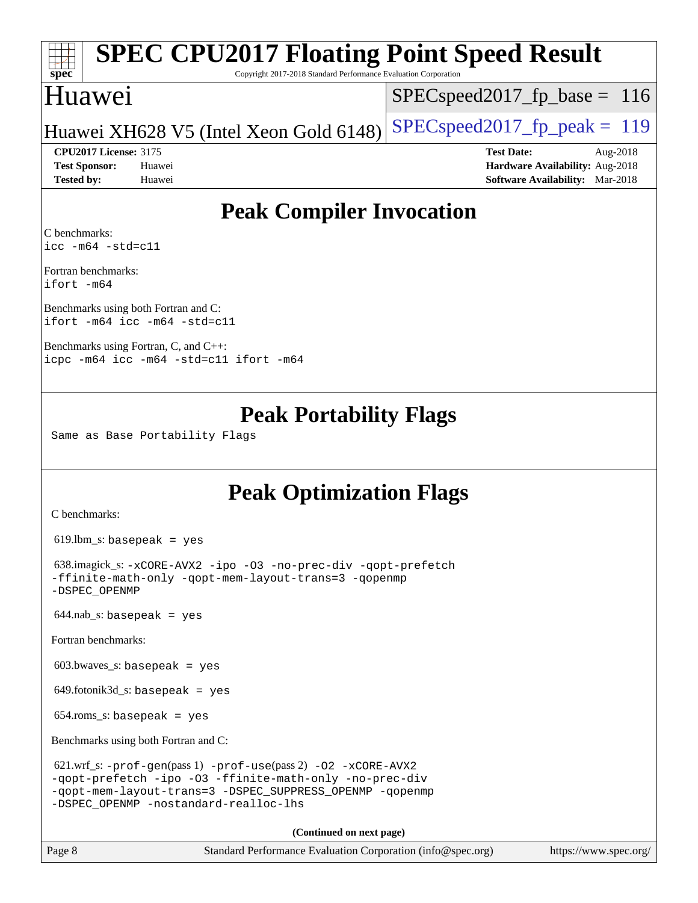# **[spec](http://www.spec.org/)**

# **[SPEC CPU2017 Floating Point Speed Result](http://www.spec.org/auto/cpu2017/Docs/result-fields.html#SPECCPU2017FloatingPointSpeedResult)**

Copyright 2017-2018 Standard Performance Evaluation Corporation

# Huawei

SPECspeed2017 fp base =  $116$ 

# Huawei XH628 V5 (Intel Xeon Gold 6148) SPECspeed 2017 fp peak = 119

**[Tested by:](http://www.spec.org/auto/cpu2017/Docs/result-fields.html#Testedby)** Huawei **[Software Availability:](http://www.spec.org/auto/cpu2017/Docs/result-fields.html#SoftwareAvailability)** Mar-2018

**[CPU2017 License:](http://www.spec.org/auto/cpu2017/Docs/result-fields.html#CPU2017License)** 3175 **[Test Date:](http://www.spec.org/auto/cpu2017/Docs/result-fields.html#TestDate)** Aug-2018 **[Test Sponsor:](http://www.spec.org/auto/cpu2017/Docs/result-fields.html#TestSponsor)** Huawei **[Hardware Availability:](http://www.spec.org/auto/cpu2017/Docs/result-fields.html#HardwareAvailability)** Aug-2018

# **[Peak Compiler Invocation](http://www.spec.org/auto/cpu2017/Docs/result-fields.html#PeakCompilerInvocation)**

[C benchmarks](http://www.spec.org/auto/cpu2017/Docs/result-fields.html#Cbenchmarks): [icc -m64 -std=c11](http://www.spec.org/cpu2017/results/res2018q4/cpu2017-20181025-09313.flags.html#user_CCpeak_intel_icc_64bit_c11_33ee0cdaae7deeeab2a9725423ba97205ce30f63b9926c2519791662299b76a0318f32ddfffdc46587804de3178b4f9328c46fa7c2b0cd779d7a61945c91cd35)

[Fortran benchmarks:](http://www.spec.org/auto/cpu2017/Docs/result-fields.html#Fortranbenchmarks) [ifort -m64](http://www.spec.org/cpu2017/results/res2018q4/cpu2017-20181025-09313.flags.html#user_FCpeak_intel_ifort_64bit_24f2bb282fbaeffd6157abe4f878425411749daecae9a33200eee2bee2fe76f3b89351d69a8130dd5949958ce389cf37ff59a95e7a40d588e8d3a57e0c3fd751)

[Benchmarks using both Fortran and C](http://www.spec.org/auto/cpu2017/Docs/result-fields.html#BenchmarksusingbothFortranandC): [ifort -m64](http://www.spec.org/cpu2017/results/res2018q4/cpu2017-20181025-09313.flags.html#user_CC_FCpeak_intel_ifort_64bit_24f2bb282fbaeffd6157abe4f878425411749daecae9a33200eee2bee2fe76f3b89351d69a8130dd5949958ce389cf37ff59a95e7a40d588e8d3a57e0c3fd751) [icc -m64 -std=c11](http://www.spec.org/cpu2017/results/res2018q4/cpu2017-20181025-09313.flags.html#user_CC_FCpeak_intel_icc_64bit_c11_33ee0cdaae7deeeab2a9725423ba97205ce30f63b9926c2519791662299b76a0318f32ddfffdc46587804de3178b4f9328c46fa7c2b0cd779d7a61945c91cd35)

[Benchmarks using Fortran, C, and C++](http://www.spec.org/auto/cpu2017/Docs/result-fields.html#BenchmarksusingFortranCandCXX): [icpc -m64](http://www.spec.org/cpu2017/results/res2018q4/cpu2017-20181025-09313.flags.html#user_CC_CXX_FCpeak_intel_icpc_64bit_4ecb2543ae3f1412ef961e0650ca070fec7b7afdcd6ed48761b84423119d1bf6bdf5cad15b44d48e7256388bc77273b966e5eb805aefd121eb22e9299b2ec9d9) [icc -m64 -std=c11](http://www.spec.org/cpu2017/results/res2018q4/cpu2017-20181025-09313.flags.html#user_CC_CXX_FCpeak_intel_icc_64bit_c11_33ee0cdaae7deeeab2a9725423ba97205ce30f63b9926c2519791662299b76a0318f32ddfffdc46587804de3178b4f9328c46fa7c2b0cd779d7a61945c91cd35) [ifort -m64](http://www.spec.org/cpu2017/results/res2018q4/cpu2017-20181025-09313.flags.html#user_CC_CXX_FCpeak_intel_ifort_64bit_24f2bb282fbaeffd6157abe4f878425411749daecae9a33200eee2bee2fe76f3b89351d69a8130dd5949958ce389cf37ff59a95e7a40d588e8d3a57e0c3fd751)

# **[Peak Portability Flags](http://www.spec.org/auto/cpu2017/Docs/result-fields.html#PeakPortabilityFlags)**

Same as Base Portability Flags

# **[Peak Optimization Flags](http://www.spec.org/auto/cpu2017/Docs/result-fields.html#PeakOptimizationFlags)**

[C benchmarks](http://www.spec.org/auto/cpu2017/Docs/result-fields.html#Cbenchmarks):

 $619.$ lbm\_s: basepeak = yes

 638.imagick\_s: [-xCORE-AVX2](http://www.spec.org/cpu2017/results/res2018q4/cpu2017-20181025-09313.flags.html#user_peakCOPTIMIZE638_imagick_s_f-xCORE-AVX2) [-ipo](http://www.spec.org/cpu2017/results/res2018q4/cpu2017-20181025-09313.flags.html#user_peakCOPTIMIZE638_imagick_s_f-ipo) [-O3](http://www.spec.org/cpu2017/results/res2018q4/cpu2017-20181025-09313.flags.html#user_peakCOPTIMIZE638_imagick_s_f-O3) [-no-prec-div](http://www.spec.org/cpu2017/results/res2018q4/cpu2017-20181025-09313.flags.html#user_peakCOPTIMIZE638_imagick_s_f-no-prec-div) [-qopt-prefetch](http://www.spec.org/cpu2017/results/res2018q4/cpu2017-20181025-09313.flags.html#user_peakCOPTIMIZE638_imagick_s_f-qopt-prefetch) [-ffinite-math-only](http://www.spec.org/cpu2017/results/res2018q4/cpu2017-20181025-09313.flags.html#user_peakCOPTIMIZE638_imagick_s_f_finite_math_only_cb91587bd2077682c4b38af759c288ed7c732db004271a9512da14a4f8007909a5f1427ecbf1a0fb78ff2a814402c6114ac565ca162485bbcae155b5e4258871) [-qopt-mem-layout-trans=3](http://www.spec.org/cpu2017/results/res2018q4/cpu2017-20181025-09313.flags.html#user_peakCOPTIMIZE638_imagick_s_f-qopt-mem-layout-trans_de80db37974c74b1f0e20d883f0b675c88c3b01e9d123adea9b28688d64333345fb62bc4a798493513fdb68f60282f9a726aa07f478b2f7113531aecce732043) [-qopenmp](http://www.spec.org/cpu2017/results/res2018q4/cpu2017-20181025-09313.flags.html#user_peakCOPTIMIZE638_imagick_s_qopenmp_16be0c44f24f464004c6784a7acb94aca937f053568ce72f94b139a11c7c168634a55f6653758ddd83bcf7b8463e8028bb0b48b77bcddc6b78d5d95bb1df2967) [-DSPEC\\_OPENMP](http://www.spec.org/cpu2017/results/res2018q4/cpu2017-20181025-09313.flags.html#suite_peakCOPTIMIZE638_imagick_s_DSPEC_OPENMP)

 $644.nab$ <sub>S</sub>: basepeak = yes

[Fortran benchmarks](http://www.spec.org/auto/cpu2017/Docs/result-fields.html#Fortranbenchmarks):

 $603.bwaves$  s: basepeak = yes

 $649.$ fotonik $3d$ <sub>-</sub>s: basepeak = yes

654.roms\_s: basepeak = yes

[Benchmarks using both Fortran and C](http://www.spec.org/auto/cpu2017/Docs/result-fields.html#BenchmarksusingbothFortranandC):

```
 621.wrf_s: -prof-gen(pass 1) -prof-use(pass 2) -O2 -xCORE-AVX2
-qopt-prefetch -ipo -O3 -ffinite-math-only -no-prec-div
-qopt-mem-layout-trans=3 -DSPEC_SUPPRESS_OPENMP -qopenmp
-DSPEC_OPENMP -nostandard-realloc-lhs
```
**(Continued on next page)**

Page 8 Standard Performance Evaluation Corporation [\(info@spec.org\)](mailto:info@spec.org) <https://www.spec.org/>